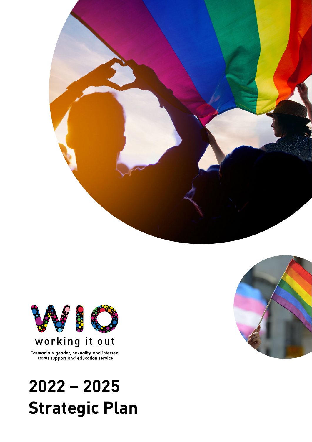



Tasmania's gender, sexuality and intersex status support and education service

# **2022 – 2025 Strategic Plan**

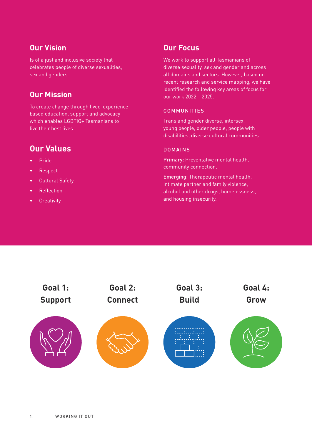#### **Our Vision**

Is of a just and inclusive society that celebrates people of diverse sexualities, sex and genders.

#### **Our Mission**

To create change through lived-experiencebased education, support and advocacy which enables LGBTIQ+ Tasmanians to live their best lives.

#### **Our Values**

- Pride
- Respect
- Cultural Safety
- Reflection
- Creativity

#### **Our Focus**

We work to support all Tasmanians of diverse sexuality, sex and gender and across all domains and sectors. However, based on recent research and service mapping, we have identified the following key areas of focus for our work 2022 – 2025.

#### **COMMUNITIES**

Trans and gender diverse, intersex, young people, older people, people with disabilities, diverse cultural communities.

#### DOMAINS

Primary: Preventative mental health, community connection.

Emerging: Therapeutic mental health, intimate partner and family violence, alcohol and other drugs, homelessness, and housing insecurity.

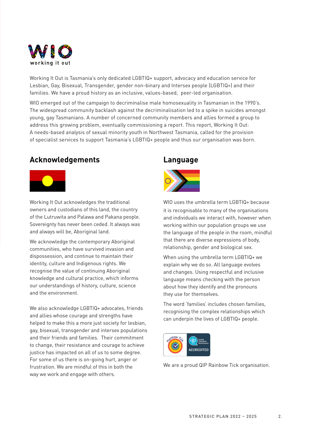

Working It Out is Tasmania's only dedicated LGBTIQ+ support, advocacy and education service for Lesbian, Gay, Bisexual, Transgender, gender non-binary and Intersex people (LGBTIQ+) and their families. We have a proud history as an inclusive, values-based, peer-led organisation.

WIO emerged out of the campaign to decriminalise male homosexuality in Tasmanian in the 1990's. The widespread community backlash against the decriminalisation led to a spike in suicides amongst young, gay Tasmanians. A number of concerned community members and allies formed a group to address this growing problem, eventually commissioning a report. This report, Working It Out: A needs-based analysis of sexual minority youth in Northwest Tasmania, called for the provision of specialist services to support Tasmania's LGBTIQ+ people and thus our organisation was born.

#### **Acknowledgements**



Working It Out acknowledges the traditional owners and custodians of this land, the country of the Lutruwita and Palawa and Pakana people. Sovereignty has never been ceded. It always was and always will be, Aboriginal land.

We acknowledge the contemporary Aboriginal communities, who have survived invasion and dispossession, and continue to maintain their identity, culture and Indigenous rights. We recognise the value of continuing Aboriginal knowledge and cultural practice, which informs our understandings of history, culture, science and the environment.

We also acknowledge LGBTIQ+ advocates, friends and allies whose courage and strengths have helped to make this a more just society for lesbian, gay, bisexual, transgender and intersex populations and their friends and families. Their commitment to change, their resistance and courage to achieve justice has impacted on all of us to some degree. For some of us there is on-going hurt, anger or frustration. We are mindful of this in both the way we work and engage with others.

#### **Language**



WIO uses the umbrella term LGBTIQ+ because it is recognisable to many of the organisations and individuals we interact with, however when working within our population groups we use the language of the people in the room, mindful that there are diverse expressions of body, relationship, gender and biological sex.

When using the umbrella term LGBTIQ+ we explain why we do so. All language evolves and changes. Using respectful and inclusive language means checking with the person about how they identify and the pronouns they use for themselves.

The word 'families' includes chosen families, recognising the complex relationships which can underpin the lives of LGBTIQ+ people.



We are a proud QIP Rainbow Tick organisation.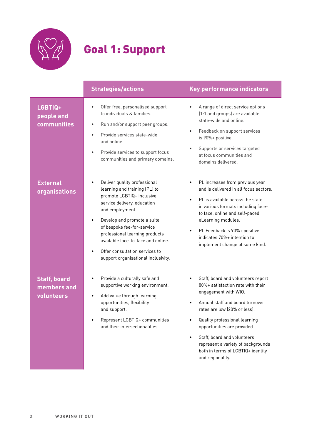

# Goal 1: Support

|                                                  | <b>Strategies/actions</b>                                                                                                                                                                                                                                                                                                                                               | <b>Key performance indicators</b>                                                                                                                                                                                                                                                                                                                                |
|--------------------------------------------------|-------------------------------------------------------------------------------------------------------------------------------------------------------------------------------------------------------------------------------------------------------------------------------------------------------------------------------------------------------------------------|------------------------------------------------------------------------------------------------------------------------------------------------------------------------------------------------------------------------------------------------------------------------------------------------------------------------------------------------------------------|
| LGBTIQ+<br>people and<br>communities             | Offer free, personalised support<br>to individuals & families.<br>Run and/or support peer groups.<br>$\bullet$<br>Provide services state-wide<br>$\bullet$<br>and online.<br>Provide services to support focus<br>$\bullet$<br>communities and primary domains.                                                                                                         | A range of direct service options<br>(1:1 and groups) are available<br>state-wide and online.<br>Feedback on support services<br>is 90%+ positive.<br>Supports or services targeted<br>at focus communities and<br>domains delivered.                                                                                                                            |
| <b>External</b><br><b>organisations</b>          | Deliver quality professional<br>$\bullet$<br>learning and training (PL) to<br>promote LGBTIQ+ inclusive<br>service delivery, education<br>and employment.<br>Develop and promote a suite<br>of bespoke fee-for-service<br>professional learning products<br>available face-to-face and online.<br>Offer consultation services to<br>support organisational inclusivity. | PL increases from previous year<br>and is delivered in all focus sectors.<br>PL is available across the state<br>in various formats including face-<br>to face, online and self-paced<br>eLearning modules.<br>PL Feedback is 90%+ positive<br>indicates 70%+ intention to<br>implement change of some kind.                                                     |
| <b>Staff, board</b><br>members and<br>volunteers | Provide a culturally safe and<br>$\bullet$<br>supportive working environment.<br>Add value through learning<br>$\bullet$<br>opportunities, flexibility<br>and support.<br>Represent LGBTIQ+ communities<br>and their intersectionalities.                                                                                                                               | Staff, board and volunteers report<br>80%+ satisfaction rate with their<br>engagement with WIO.<br>Annual staff and board turnover<br>rates are low (20% or less).<br>Quality professional learning<br>opportunities are provided.<br>Staff, board and volunteers<br>represent a variety of backgrounds<br>both in terms of LGBTIQ+ identity<br>and regionality. |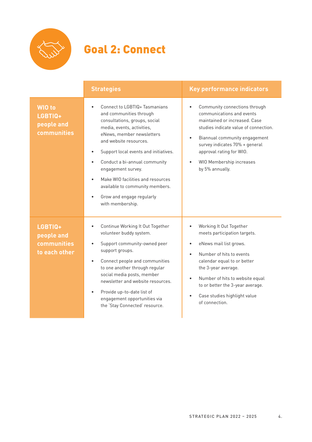

# Goal 2: Connect

|                                                       | <b>Strategies</b>                                                                                                                                                                                                                                                                                                                                                                                                    | <b>Key performance indicators</b>                                                                                                                                                                                                                                                                                                                             |
|-------------------------------------------------------|----------------------------------------------------------------------------------------------------------------------------------------------------------------------------------------------------------------------------------------------------------------------------------------------------------------------------------------------------------------------------------------------------------------------|---------------------------------------------------------------------------------------------------------------------------------------------------------------------------------------------------------------------------------------------------------------------------------------------------------------------------------------------------------------|
| <b>WIO</b> to<br>LGBTIQ+<br>people and<br>communities | Connect to LGBTIQ+ Tasmanians<br>and communities through<br>consultations, groups, social<br>media, events, activities,<br>eNews, member newsletters<br>and website resources.<br>Support local events and initiatives.<br>Conduct a bi-annual community<br>engagement survey.<br>Make WIO facilities and resources<br>available to community members.<br>Grow and engage regularly<br>$\bullet$<br>with membership. | Community connections through<br>$\bullet$<br>communications and events<br>maintained or increased. Case<br>studies indicate value of connection.<br>Biannual community engagement<br>$\bullet$<br>survey indicates 70% + general<br>approval rating for WIO.<br>WIO Membership increases<br>by 5% annually.                                                  |
| LGBTIQ+<br>people and<br>communities<br>to each other | Continue Working It Out Together<br>volunteer buddy system.<br>Support community-owned peer<br>support groups.<br>Connect people and communities<br>$\bullet$<br>to one another through regular<br>social media posts, member<br>newsletter and website resources.<br>Provide up-to-date list of<br>engagement opportunities via<br>the 'Stay Connected' resource.                                                   | Working It Out Together<br>$\bullet$<br>meets participation targets.<br>eNews mail list grows.<br>$\bullet$<br>Number of hits to events<br>$\bullet$<br>calendar equal to or better<br>the 3-year average.<br>Number of hits to website equal<br>$\bullet$<br>to or better the 3-year average.<br>Case studies highlight value<br>$\bullet$<br>of connection. |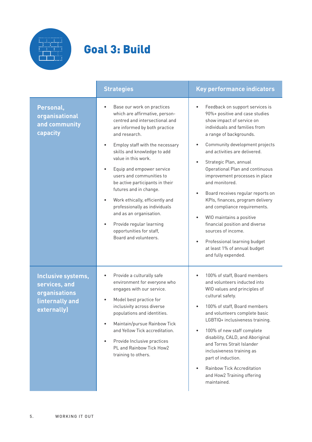

# Goal 3: Build

|                                                                                        | <b>Strategies</b>                                                                                                                                                                                                                                                                                                                                                                                                                                                                                                                                                                      | Key performance indicators                                                                                                                                                                                                                                                                                                                                                                                                                                                                                                                                                                                                                                                                               |
|----------------------------------------------------------------------------------------|----------------------------------------------------------------------------------------------------------------------------------------------------------------------------------------------------------------------------------------------------------------------------------------------------------------------------------------------------------------------------------------------------------------------------------------------------------------------------------------------------------------------------------------------------------------------------------------|----------------------------------------------------------------------------------------------------------------------------------------------------------------------------------------------------------------------------------------------------------------------------------------------------------------------------------------------------------------------------------------------------------------------------------------------------------------------------------------------------------------------------------------------------------------------------------------------------------------------------------------------------------------------------------------------------------|
| Personal,<br>organisational<br>and community<br>capacity                               | Base our work on practices<br>$\bullet$<br>which are affirmative, person-<br>centred and intersectional and<br>are informed by both practice<br>and research.<br>Employ staff with the necessary<br>$\bullet$<br>skills and knowledge to add<br>value in this work.<br>Equip and empower service<br>$\bullet$<br>users and communities to<br>be active participants in their<br>futures and in change.<br>Work ethically, efficiently and<br>professionally as individuals<br>and as an organisation.<br>Provide regular learning<br>opportunities for staff,<br>Board and volunteers. | Feedback on support services is<br>$\bullet$<br>90%+ positive and case studies<br>show impact of service on<br>individuals and families from<br>a range of backgrounds.<br>Community development projects<br>$\bullet$<br>and activities are delivered.<br>Strategic Plan, annual<br>$\bullet$<br>Operational Plan and continuous<br>improvement processes in place<br>and monitored.<br>Board receives regular reports on<br>$\bullet$<br>KPIs, finances, program delivery<br>and compliance requirements.<br>WIO maintains a positive<br>$\bullet$<br>financial position and diverse<br>sources of income.<br>Professional learning budget<br>٠<br>at least 1% of annual budget<br>and fully expended. |
| Inclusive systems,<br>services, and<br>organisations<br>(internally and<br>externally) | Provide a culturally safe<br>environment for everyone who<br>engages with our service.<br>Model best practice for<br>inclusivity across diverse<br>populations and identities.<br>Maintain/pursue Rainbow Tick<br>$\bullet$<br>and Yellow Tick accreditation.<br>Provide Inclusive practices<br>PL and Rainbow Tick How2<br>training to others.                                                                                                                                                                                                                                        | 100% of staff, Board members<br>and volunteers inducted into<br>WIO values and principles of<br>cultural safety.<br>100% of staff, Board members<br>and volunteers complete basic<br>LGBTIQ+ inclusiveness training.<br>100% of new staff complete<br>$\bullet$<br>disability, CALD, and Aboriginal<br>and Torres Strait Islander<br>inclusiveness training as<br>part of induction.<br><b>Rainbow Tick Accreditation</b><br>$\bullet$<br>and How2 Training offering<br>maintained.                                                                                                                                                                                                                      |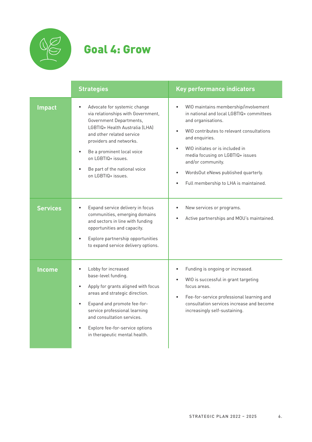

### Goal 4: Grow

|                 | <b>Strategies</b>                                                                                                                                                                                                                                                                                  | Key performance indicators                                                                                                                                                                                                                                                                                                                                     |
|-----------------|----------------------------------------------------------------------------------------------------------------------------------------------------------------------------------------------------------------------------------------------------------------------------------------------------|----------------------------------------------------------------------------------------------------------------------------------------------------------------------------------------------------------------------------------------------------------------------------------------------------------------------------------------------------------------|
| <b>Impact</b>   | Advocate for systemic change<br>via relationships with Government,<br>Government Departments,<br>LGBTIQ+ Health Australia (LHA)<br>and other related service<br>providers and networks.<br>Be a prominent local voice<br>on LGBTIQ+ issues.<br>Be part of the national voice<br>on LGBTIQ+ issues. | WIO maintains membership/involvement<br>$\bullet$<br>in national and local LGBTIQ+ committees<br>and organisations.<br>WIO contributes to relevant consultations<br>and enquiries.<br>WIO initiates or is included in<br>media focusing on LGBTIQ+ issues<br>and/or community.<br>WordsOut eNews published quarterly.<br>Full membership to LHA is maintained. |
| <b>Services</b> | Expand service delivery in focus<br>communities, emerging domains<br>and sectors in line with funding<br>opportunities and capacity.<br>Explore partnership opportunities<br>to expand service delivery options.                                                                                   | New services or programs.<br>Active partnerships and MOU's maintained.                                                                                                                                                                                                                                                                                         |
| <b>Income</b>   | Lobby for increased<br>base-level funding.<br>Apply for grants aligned with focus<br>areas and strategic direction.<br>Expand and promote fee-for-<br>service professional learning<br>and consultation services.<br>Explore fee-for-service options<br>in therapeutic mental health.              | Funding is ongoing or increased.<br>WIO is successful in grant targeting<br>focus areas.<br>Fee-for-service professional learning and<br>$\bullet$<br>consultation services increase and become<br>increasingly self-sustaining.                                                                                                                               |